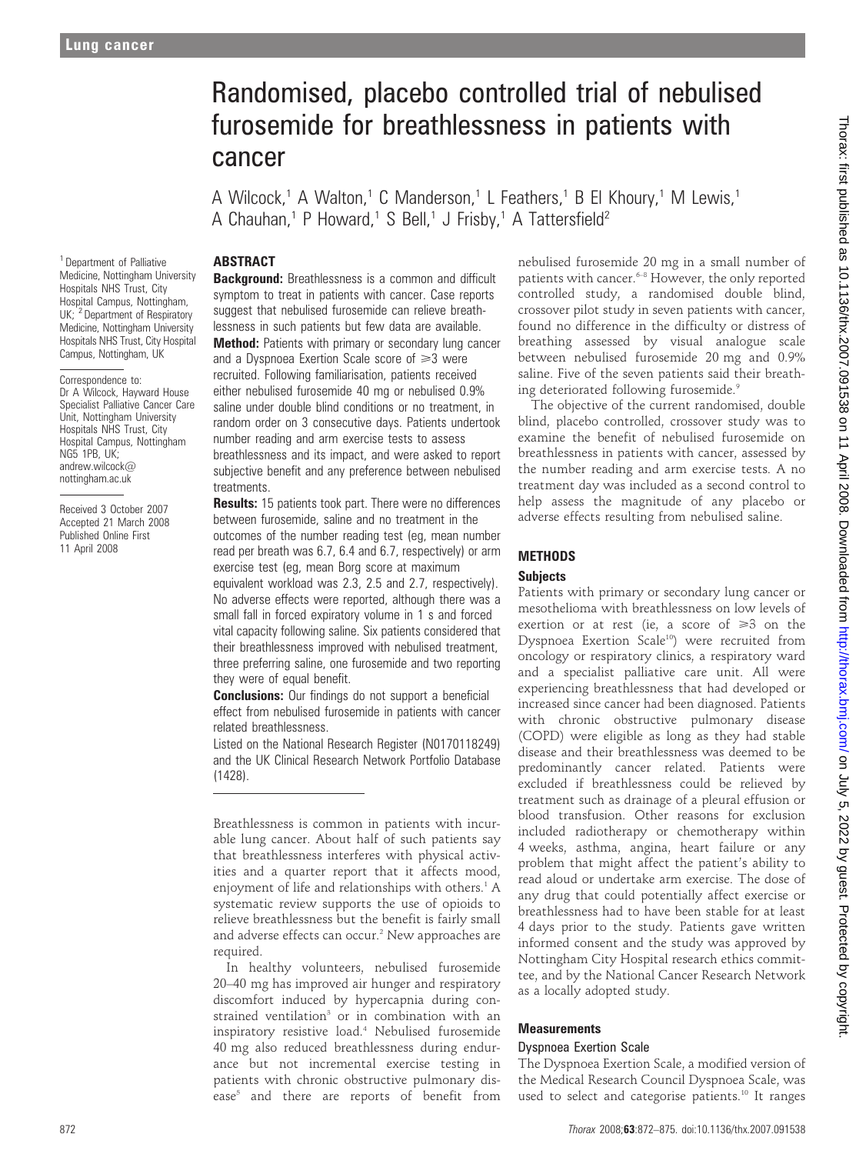# Randomised, placebo controlled trial of nebulised furosemide for breathlessness in patients with cancer

A Wilcock,<sup>1</sup> A Walton,<sup>1</sup> C Manderson,<sup>1</sup> L Feathers,<sup>1</sup> B El Khoury,<sup>1</sup> M Lewis,<sup>1</sup> A Chauhan,<sup>1</sup> P Howard,<sup>1</sup> S Bell,<sup>1</sup> J Frisby,<sup>1</sup> A Tattersfield<sup>2</sup>

# **ABSTRACT**

<sup>1</sup> Department of Palliative Medicine, Nottingham University Hospitals NHS Trust, City Hospital Campus, Nottingham, UK; <sup>2</sup> Department of Respiratory Medicine, Nottingham University Hospitals NHS Trust, City Hospital Campus, Nottingham, UK

Correspondence to: Dr A Wilcock, Hayward House Specialist Palliative Cancer Care Unit, Nottingham University Hospitals NHS Trust, City Hospital Campus, Nottingham NG5 1PB, UK; andrew.wilcock@ nottingham.ac.uk

Received 3 October 2007 Accepted 21 March 2008 Published Online First 11 April 2008

Background: Breathlessness is a common and difficult symptom to treat in patients with cancer. Case reports suggest that nebulised furosemide can relieve breathlessness in such patients but few data are available. **Method:** Patients with primary or secondary lung cancer and a Dyspnoea Exertion Scale score of  $\geq 3$  were recruited. Following familiarisation, patients received either nebulised furosemide 40 mg or nebulised 0.9% saline under double blind conditions or no treatment, in random order on 3 consecutive days. Patients undertook number reading and arm exercise tests to assess breathlessness and its impact, and were asked to report subjective benefit and any preference between nebulised treatments.

**Results:** 15 patients took part. There were no differences between furosemide, saline and no treatment in the outcomes of the number reading test (eg, mean number read per breath was 6.7, 6.4 and 6.7, respectively) or arm exercise test (eg, mean Borg score at maximum equivalent workload was 2.3, 2.5 and 2.7, respectively). No adverse effects were reported, although there was a small fall in forced expiratory volume in 1 s and forced vital capacity following saline. Six patients considered that their breathlessness improved with nebulised treatment, three preferring saline, one furosemide and two reporting they were of equal benefit.

**Conclusions:** Our findings do not support a beneficial effect from nebulised furosemide in patients with cancer related breathlessness.

Listed on the National Research Register (N0170118249) and the UK Clinical Research Network Portfolio Database (1428).

Breathlessness is common in patients with incurable lung cancer. About half of such patients say that breathlessness interferes with physical activities and a quarter report that it affects mood, enjoyment of life and relationships with others.<sup>1</sup> A systematic review supports the use of opioids to relieve breathlessness but the benefit is fairly small and adverse effects can occur.<sup>2</sup> New approaches are required.

In healthy volunteers, nebulised furosemide 20–40 mg has improved air hunger and respiratory discomfort induced by hypercapnia during constrained ventilation<sup>3</sup> or in combination with an inspiratory resistive load.4 Nebulised furosemide 40 mg also reduced breathlessness during endurance but not incremental exercise testing in patients with chronic obstructive pulmonary disease<sup>5</sup> and there are reports of benefit from nebulised furosemide 20 mg in a small number of patients with cancer.<sup>6-8</sup> However, the only reported controlled study, a randomised double blind, crossover pilot study in seven patients with cancer, found no difference in the difficulty or distress of breathing assessed by visual analogue scale between nebulised furosemide 20 mg and 0.9% saline. Five of the seven patients said their breathing deteriorated following furosemide.9

The objective of the current randomised, double blind, placebo controlled, crossover study was to examine the benefit of nebulised furosemide on breathlessness in patients with cancer, assessed by the number reading and arm exercise tests. A no treatment day was included as a second control to help assess the magnitude of any placebo or adverse effects resulting from nebulised saline.

# **METHODS**

# **Subjects**

Patients with primary or secondary lung cancer or mesothelioma with breathlessness on low levels of exertion or at rest (ie, a score of  $\geq 3$  on the Dyspnoea Exertion Scale<sup>10</sup>) were recruited from oncology or respiratory clinics, a respiratory ward and a specialist palliative care unit. All were experiencing breathlessness that had developed or increased since cancer had been diagnosed. Patients with chronic obstructive pulmonary disease (COPD) were eligible as long as they had stable disease and their breathlessness was deemed to be predominantly cancer related. Patients were excluded if breathlessness could be relieved by treatment such as drainage of a pleural effusion or blood transfusion. Other reasons for exclusion included radiotherapy or chemotherapy within 4 weeks, asthma, angina, heart failure or any problem that might affect the patient's ability to read aloud or undertake arm exercise. The dose of any drug that could potentially affect exercise or breathlessness had to have been stable for at least 4 days prior to the study. Patients gave written informed consent and the study was approved by Nottingham City Hospital research ethics committee, and by the National Cancer Research Network as a locally adopted study.

# **Measurements**

## Dyspnoea Exertion Scale

The Dyspnoea Exertion Scale, a modified version of the Medical Research Council Dyspnoea Scale, was used to select and categorise patients.<sup>10</sup> It ranges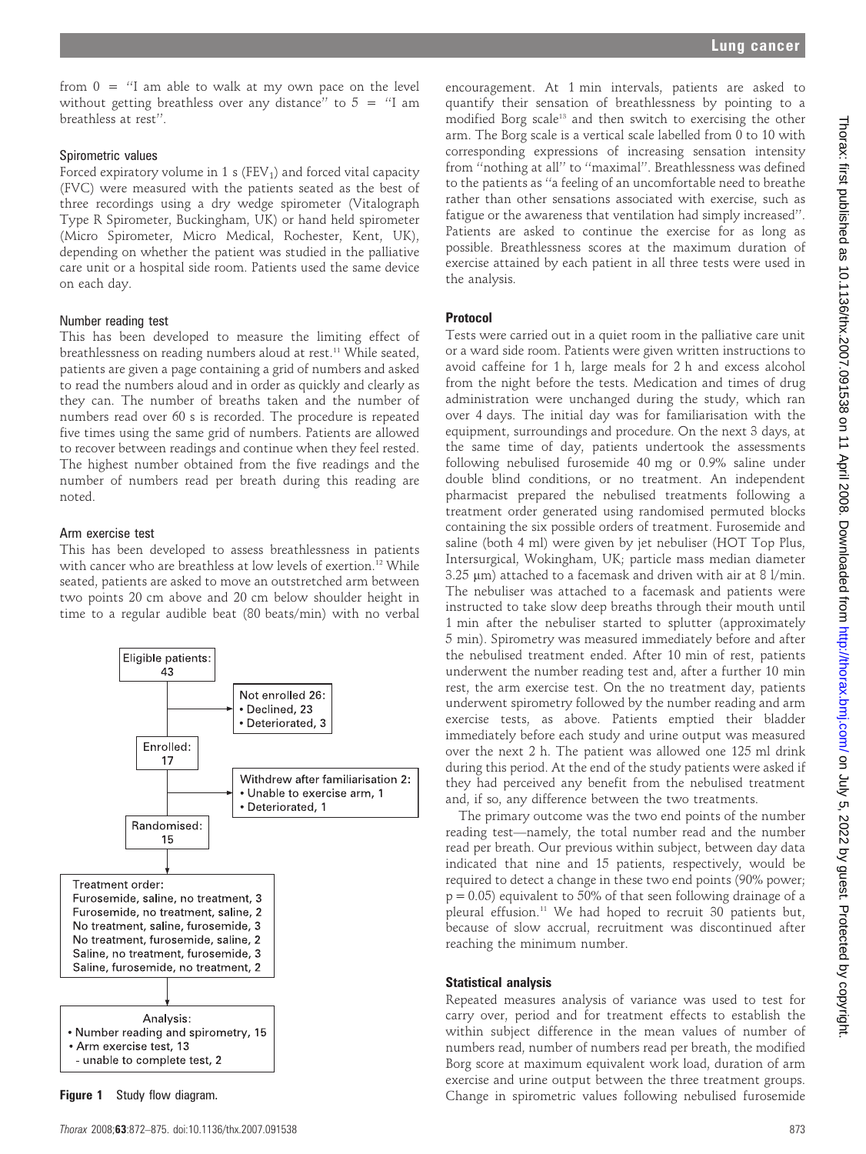from  $0 =$  "I am able to walk at my own pace on the level without getting breathless over any distance" to  $5 =$  "I am breathless at rest''.

### Spirometric values

Forced expiratory volume in 1 s ( $FEV<sub>1</sub>$ ) and forced vital capacity (FVC) were measured with the patients seated as the best of three recordings using a dry wedge spirometer (Vitalograph Type R Spirometer, Buckingham, UK) or hand held spirometer (Micro Spirometer, Micro Medical, Rochester, Kent, UK), depending on whether the patient was studied in the palliative care unit or a hospital side room. Patients used the same device on each day.

#### Number reading test

This has been developed to measure the limiting effect of breathlessness on reading numbers aloud at rest.<sup>11</sup> While seated, patients are given a page containing a grid of numbers and asked to read the numbers aloud and in order as quickly and clearly as they can. The number of breaths taken and the number of numbers read over 60 s is recorded. The procedure is repeated five times using the same grid of numbers. Patients are allowed to recover between readings and continue when they feel rested. The highest number obtained from the five readings and the number of numbers read per breath during this reading are noted.

#### Arm exercise test

This has been developed to assess breathlessness in patients with cancer who are breathless at low levels of exertion.<sup>12</sup> While seated, patients are asked to move an outstretched arm between two points 20 cm above and 20 cm below shoulder height in time to a regular audible beat (80 beats/min) with no verbal



encouragement. At 1 min intervals, patients are asked to quantify their sensation of breathlessness by pointing to a modified Borg scale<sup>13</sup> and then switch to exercising the other arm. The Borg scale is a vertical scale labelled from 0 to 10 with corresponding expressions of increasing sensation intensity from ''nothing at all'' to ''maximal''. Breathlessness was defined to the patients as ''a feeling of an uncomfortable need to breathe rather than other sensations associated with exercise, such as fatigue or the awareness that ventilation had simply increased''. Patients are asked to continue the exercise for as long as possible. Breathlessness scores at the maximum duration of exercise attained by each patient in all three tests were used in the analysis.

#### Protocol

Tests were carried out in a quiet room in the palliative care unit or a ward side room. Patients were given written instructions to avoid caffeine for 1 h, large meals for 2 h and excess alcohol from the night before the tests. Medication and times of drug administration were unchanged during the study, which ran over 4 days. The initial day was for familiarisation with the equipment, surroundings and procedure. On the next 3 days, at the same time of day, patients undertook the assessments following nebulised furosemide 40 mg or 0.9% saline under double blind conditions, or no treatment. An independent pharmacist prepared the nebulised treatments following a treatment order generated using randomised permuted blocks containing the six possible orders of treatment. Furosemide and saline (both 4 ml) were given by jet nebuliser (HOT Top Plus, Intersurgical, Wokingham, UK; particle mass median diameter  $3.25 \text{ }\mu\text{m}$ ) attached to a facemask and driven with air at 8 l/min. The nebuliser was attached to a facemask and patients were instructed to take slow deep breaths through their mouth until 1 min after the nebuliser started to splutter (approximately 5 min). Spirometry was measured immediately before and after the nebulised treatment ended. After 10 min of rest, patients underwent the number reading test and, after a further 10 min rest, the arm exercise test. On the no treatment day, patients underwent spirometry followed by the number reading and arm exercise tests, as above. Patients emptied their bladder immediately before each study and urine output was measured over the next 2 h. The patient was allowed one 125 ml drink during this period. At the end of the study patients were asked if they had perceived any benefit from the nebulised treatment and, if so, any difference between the two treatments.

The primary outcome was the two end points of the number reading test—namely, the total number read and the number read per breath. Our previous within subject, between day data indicated that nine and 15 patients, respectively, would be required to detect a change in these two end points (90% power;  $p = 0.05$ ) equivalent to 50% of that seen following drainage of a pleural effusion.<sup>11</sup> We had hoped to recruit 30 patients but, because of slow accrual, recruitment was discontinued after reaching the minimum number.

#### Statistical analysis

Repeated measures analysis of variance was used to test for carry over, period and for treatment effects to establish the within subject difference in the mean values of number of numbers read, number of numbers read per breath, the modified Borg score at maximum equivalent work load, duration of arm exercise and urine output between the three treatment groups. Figure 1 Study flow diagram. The state of the set of the spirometric values following nebulised furosemide furosemide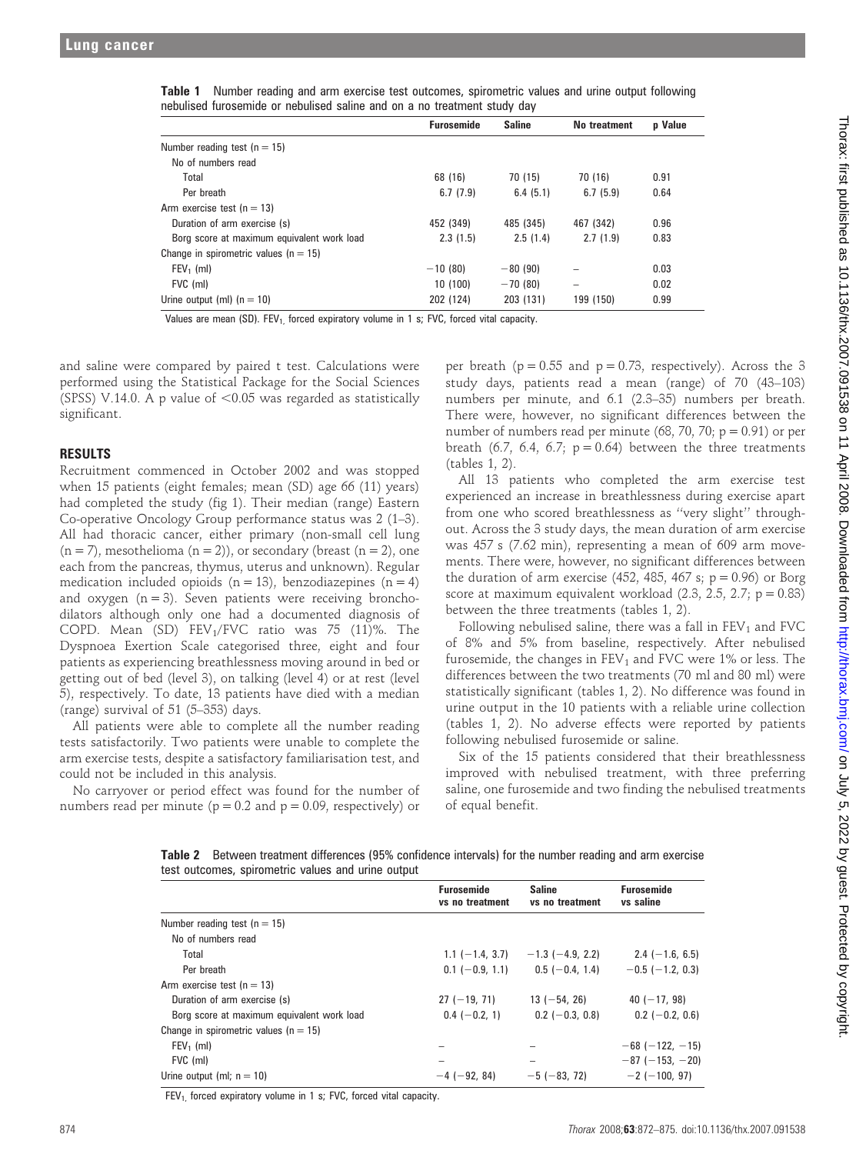|  |  | Table 1 Number reading and arm exercise test outcomes, spirometric values and urine output following |  |  |  |
|--|--|------------------------------------------------------------------------------------------------------|--|--|--|
|  |  | nebulised furosemide or nebulised saline and on a no treatment study day                             |  |  |  |

|                                            | <b>Furosemide</b> | <b>Saline</b> | No treatment | p Value |
|--------------------------------------------|-------------------|---------------|--------------|---------|
| Number reading test ( $n = 15$ )           |                   |               |              |         |
| No of numbers read                         |                   |               |              |         |
| Total                                      | 68 (16)           | 70 (15)       | 70 (16)      | 0.91    |
| Per breath                                 | 6.7(7.9)          | 6.4(5.1)      | 6.7(5.9)     | 0.64    |
| Arm exercise test ( $n = 13$ )             |                   |               |              |         |
| Duration of arm exercise (s)               | 452 (349)         | 485 (345)     | 467 (342)    | 0.96    |
| Borg score at maximum equivalent work load | 2.3(1.5)          | 2.5(1.4)      | 2.7(1.9)     | 0.83    |
| Change in spirometric values ( $n = 15$ )  |                   |               |              |         |
| $FEV_1$ (ml)                               | $-10(80)$         | $-80(90)$     |              | 0.03    |
| FVC (ml)                                   | 10 (100)          | $-70(80)$     | -            | 0.02    |
| Urine output (ml) $(n = 10)$               | 202 (124)         | 203 (131)     | 199 (150)    | 0.99    |

Values are mean (SD).  $FEV<sub>1</sub>$  forced expiratory volume in 1 s; FVC, forced vital capacity.

and saline were compared by paired t test. Calculations were performed using the Statistical Package for the Social Sciences (SPSS) V.14.0. A p value of  $< 0.05$  was regarded as statistically significant.

## RESULTS

Recruitment commenced in October 2002 and was stopped when 15 patients (eight females; mean (SD) age 66 (11) years) had completed the study (fig 1). Their median (range) Eastern Co-operative Oncology Group performance status was 2 (1–3). All had thoracic cancer, either primary (non-small cell lung  $(n = 7)$ , mesothelioma  $(n = 2)$ ), or secondary (breast  $(n = 2)$ , one each from the pancreas, thymus, uterus and unknown). Regular medication included opioids  $(n = 13)$ , benzodiazepines  $(n = 4)$ and oxygen  $(n = 3)$ . Seven patients were receiving bronchodilators although only one had a documented diagnosis of COPD. Mean (SD)  $FEV<sub>1</sub>/FVC$  ratio was 75 (11)%. The Dyspnoea Exertion Scale categorised three, eight and four patients as experiencing breathlessness moving around in bed or getting out of bed (level 3), on talking (level 4) or at rest (level 5), respectively. To date, 13 patients have died with a median (range) survival of 51 (5–353) days.

All patients were able to complete all the number reading tests satisfactorily. Two patients were unable to complete the arm exercise tests, despite a satisfactory familiarisation test, and could not be included in this analysis.

No carryover or period effect was found for the number of numbers read per minute ( $p = 0.2$  and  $p = 0.09$ , respectively) or

per breath ( $p = 0.55$  and  $p = 0.73$ , respectively). Across the 3 study days, patients read a mean (range) of 70 (43–103) numbers per minute, and 6.1 (2.3–35) numbers per breath. There were, however, no significant differences between the number of numbers read per minute (68, 70, 70;  $p = 0.91$ ) or per breath (6.7, 6.4, 6.7;  $p = 0.64$ ) between the three treatments (tables 1, 2).

All 13 patients who completed the arm exercise test experienced an increase in breathlessness during exercise apart from one who scored breathlessness as ''very slight'' throughout. Across the 3 study days, the mean duration of arm exercise was 457 s (7.62 min), representing a mean of 609 arm movements. There were, however, no significant differences between the duration of arm exercise (452, 485, 467 s;  $p = 0.96$ ) or Borg score at maximum equivalent workload  $(2.3, 2.5, 2.7; p = 0.83)$ between the three treatments (tables 1, 2).

Following nebulised saline, there was a fall in  $FEV<sub>1</sub>$  and  $FVC$ of 8% and 5% from baseline, respectively. After nebulised furosemide, the changes in  $FEV<sub>1</sub>$  and  $FVC$  were 1% or less. The differences between the two treatments (70 ml and 80 ml) were statistically significant (tables 1, 2). No difference was found in urine output in the 10 patients with a reliable urine collection (tables 1, 2). No adverse effects were reported by patients following nebulised furosemide or saline.

Six of the 15 patients considered that their breathlessness improved with nebulised treatment, with three preferring saline, one furosemide and two finding the nebulised treatments of equal benefit.

Table 2 Between treatment differences (95% confidence intervals) for the number reading and arm exercise test outcomes, spirometric values and urine output

|                                            | <b>Furosemide</b><br>vs no treatment | <b>Saline</b><br>vs no treatment | <b>Furosemide</b><br>vs saline |
|--------------------------------------------|--------------------------------------|----------------------------------|--------------------------------|
| Number reading test ( $n = 15$ )           |                                      |                                  |                                |
| No of numbers read                         |                                      |                                  |                                |
| Total                                      | $1.1$ (-1.4, 3.7)                    | $-1.3$ ( $-4.9$ , 2.2)           | $2.4$ (-1.6, 6.5)              |
| Per breath                                 | $0.1$ (-0.9, 1.1)                    | $0.5$ (-0.4, 1.4)                | $-0.5$ ( $-1.2$ , 0.3)         |
| Arm exercise test ( $n = 13$ )             |                                      |                                  |                                |
| Duration of arm exercise (s)               | $27 (-19, 71)$                       | $13 (-54, 26)$                   | $40 (-17, 98)$                 |
| Borg score at maximum equivalent work load | $0.4$ (-0.2, 1)                      | $0.2$ (-0.3, 0.8)                | $0.2$ (-0.2, 0.6)              |
| Change in spirometric values ( $n = 15$ )  |                                      |                                  |                                |
| $FEV_1$ (ml)                               |                                      |                                  | $-68$ ( $-122$ , $-15$ )       |
| FVC (ml)                                   | -                                    | -                                | $-87(-153,-20)$                |
| Urine output (ml; $n = 10$ )               | $-4$ ( $-92, 84$ )                   | $-5(-83, 72)$                    | $-2$ ( $-100, 97$ )            |

 $FEV<sub>1</sub>$  forced expiratory volume in 1 s; FVC, forced vital capacity.